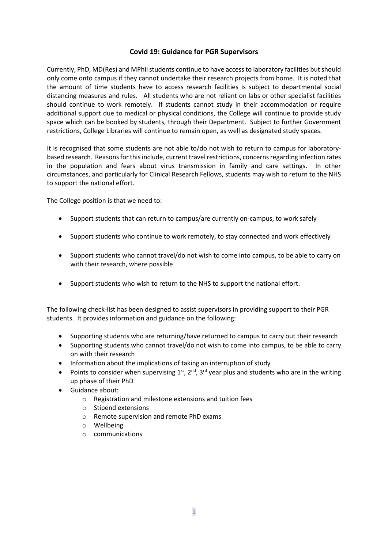## **Covid 19: Guidance for PGR Supervisors**

Currently, PhD, MD(Res) and MPhil students continue to have access to laboratory facilities butshould only come onto campus if they cannot undertake their research projects from home. It is noted that the amount of time students have to access research facilities is subject to departmental social distancing measures and rules. All students who are not reliant on labs or other specialist facilities should continue to work remotely. If students cannot study in their accommodation or require additional support due to medical or physical conditions, the College will continue to provide study space which can be booked by students, through their Department. Subject to further Government restrictions, College Libraries will continue to remain open, as well as designated study spaces.

It is recognised that some students are not able to/do not wish to return to campus for laboratorybased research. Reasons for this include, current travel restrictions, concernsregarding infection rates in the population and fears about virus transmission in family and care settings. In other circumstances, and particularly for Clinical Research Fellows, students may wish to return to the NHS to support the national effort.

The College position is that we need to:

- Support students that can return to campus/are currently on-campus, to work safely
- Support students who continue to work remotely, to stay connected and work effectively
- Support students who cannot travel/do not wish to come into campus, to be able to carry on with their research, where possible
- Support students who wish to return to the NHS to support the national effort.

The following check-list has been designed to assist supervisors in providing support to their PGR students. It provides information and guidance on the following:

- Supporting students who are returning/have returned to campus to carry out their research
- Supporting students who cannot travel/do not wish to come into campus, to be able to carry on with their research
- Information about the implications of taking an interruption of study
- Points to consider when supervising  $1^{st}$ ,  $2^{nd}$ ,  $3^{rd}$  year plus and students who are in the writing up phase of their PhD
- Guidance about:
	- o Registration and milestone extensions and tuition fees
	- o Stipend extensions
	- o Remote supervision and remote PhD exams
	- o Wellbeing
	- o communications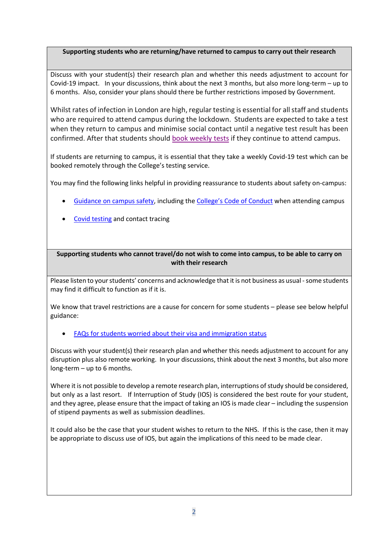# **Supporting students who are returning/have returned to campus to carry out their research**

Discuss with your student(s) their research plan and whether this needs adjustment to account for Covid-19 impact. In your discussions, think about the next 3 months, but also more long-term – up to 6 months. Also, consider your plans should there be further restrictions imposed by Government.

Whilst rates of infection in London are high, regular testing is essential for all staff and students who are required to attend campus during the lockdown. Students are expected to take a test when they return to campus and minimise social contact until a negative test result has been confirmed. After that students should [book weekly tests](https://commsandpublicaffairsall.newsweaver.com/9toyphkuvf/1xznetn9zq1/external?a=5&p=6413335&t=3683153) if they continue to attend campus.

If students are returning to campus, it is essential that they take a weekly Covid-19 test which can be booked remotely through the College's testing service.

You may find the following links helpful in providing reassurance to students about safety on-campus:

- [Guidance on campus safety,](https://www.imperial.ac.uk/safety/safety-by-topic/laboratory-safety/biological-safety/covid-19-guidance/) including the [College's Code of Conduct](https://www.imperial.ac.uk/safety/safety-by-topic/laboratory-safety/biological-safety/covid-19-guidance/keeping-you-safe---general-advice-for-everyone/imperials-code-of-conduct-attending-college-during-covid-19/) when attending campus
- [Covid testing](https://www.imperial.ac.uk/safety/safety-by-topic/laboratory-safety/biological-safety/covid-19-guidance/keeping-you-safe---general-advice-for-everyone/testing-and-contact-tracing/) and contact tracing

## **Supporting students who cannot travel/do not wish to come into campus, to be able to carry on with their research**

Please listen to your students' concerns and acknowledge that it is not business as usual - some students may find it difficult to function as if it is.

We know that travel restrictions are a cause for concern for some students – please see below helpful guidance:

## • [FAQs for students worried about their visa and immigration status](https://www.imperial.ac.uk/study/international-students/visas-and-immigration/covid-19-and-your-immigration-status/)

Discuss with your student(s) their research plan and whether this needs adjustment to account for any disruption plus also remote working. In your discussions, think about the next 3 months, but also more long-term – up to 6 months.

Where it is not possible to develop a remote research plan, interruptions of study should be considered, but only as a last resort. If Interruption of Study (IOS) is considered the best route for your student, and they agree, please ensure that the impact of taking an IOS is made clear – including the suspension of stipend payments as well as submission deadlines.

It could also be the case that your student wishes to return to the NHS. If this is the case, then it may be appropriate to discuss use of IOS, but again the implications of this need to be made clear.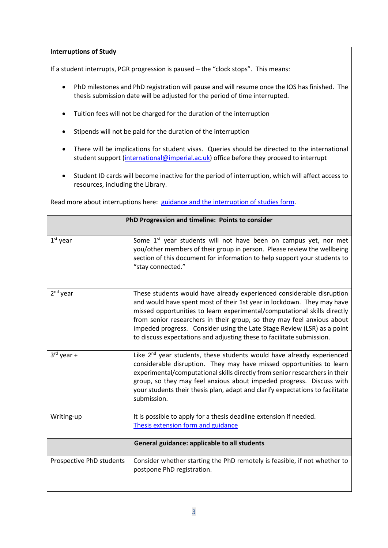#### **Interruptions of Study**

If a student interrupts, PGR progression is paused – the "clock stops". This means:

- PhD milestones and PhD registration will pause and will resume once the IOS has finished. The thesis submission date will be adjusted for the period of time interrupted.
- Tuition fees will not be charged for the duration of the interruption
- Stipends will not be paid for the duration of the interruption
- There will be implications for student visas. Queries should be directed to the international student support [\(international@imperial.ac.uk\)](mailto:international@imperial.ac.uk) office before they proceed to interrupt
- Student ID cards will become inactive for the period of interruption, which will affect access to resources, including the Library.

Read more about interruptions here: [guidance and the interruption of studies form.](https://www.imperial.ac.uk/about/governance/academic-governance/academic-policy/research-programmes/)

| PhD Progression and timeline: Points to consider |                                                                                                                                                                                                                                                                                                                                                                                                                                                           |  |
|--------------------------------------------------|-----------------------------------------------------------------------------------------------------------------------------------------------------------------------------------------------------------------------------------------------------------------------------------------------------------------------------------------------------------------------------------------------------------------------------------------------------------|--|
| $1st$ year                                       | Some 1st year students will not have been on campus yet, nor met                                                                                                                                                                                                                                                                                                                                                                                          |  |
|                                                  | you/other members of their group in person. Please review the wellbeing<br>section of this document for information to help support your students to<br>"stay connected."                                                                                                                                                                                                                                                                                 |  |
| 2 <sup>nd</sup> year                             | These students would have already experienced considerable disruption<br>and would have spent most of their 1st year in lockdown. They may have<br>missed opportunities to learn experimental/computational skills directly<br>from senior researchers in their group, so they may feel anxious about<br>impeded progress. Consider using the Late Stage Review (LSR) as a point<br>to discuss expectations and adjusting these to facilitate submission. |  |
| $3rd$ year +                                     | Like 2 <sup>nd</sup> year students, these students would have already experienced<br>considerable disruption. They may have missed opportunities to learn<br>experimental/computational skills directly from senior researchers in their<br>group, so they may feel anxious about impeded progress. Discuss with<br>your students their thesis plan, adapt and clarify expectations to facilitate<br>submission.                                          |  |
| Writing-up                                       | It is possible to apply for a thesis deadline extension if needed.<br>Thesis extension form and guidance                                                                                                                                                                                                                                                                                                                                                  |  |
| General guidance: applicable to all students     |                                                                                                                                                                                                                                                                                                                                                                                                                                                           |  |
| Prospective PhD students                         | Consider whether starting the PhD remotely is feasible, if not whether to<br>postpone PhD registration.                                                                                                                                                                                                                                                                                                                                                   |  |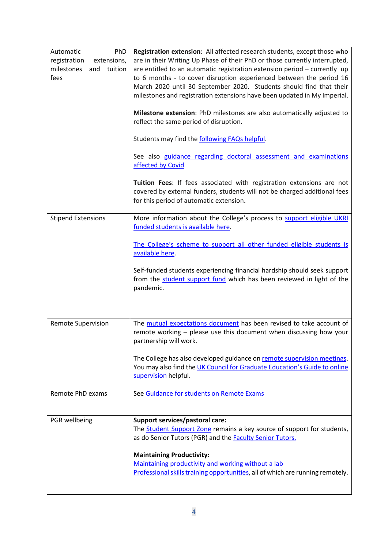| PhD<br>Automatic<br>registration<br>extensions,<br>milestones<br>and<br>tuition<br>fees | Registration extension: All affected research students, except those who<br>are in their Writing Up Phase of their PhD or those currently interrupted,<br>are entitled to an automatic registration extension period - currently up<br>to 6 months - to cover disruption experienced between the period 16<br>March 2020 until 30 September 2020. Students should find that their<br>milestones and registration extensions have been updated in My Imperial.<br>Milestone extension: PhD milestones are also automatically adjusted to<br>reflect the same period of disruption.<br>Students may find the following FAQs helpful.<br>See also guidance regarding doctoral assessment and examinations<br>affected by Covid |
|-----------------------------------------------------------------------------------------|-----------------------------------------------------------------------------------------------------------------------------------------------------------------------------------------------------------------------------------------------------------------------------------------------------------------------------------------------------------------------------------------------------------------------------------------------------------------------------------------------------------------------------------------------------------------------------------------------------------------------------------------------------------------------------------------------------------------------------|
|                                                                                         | Tuition Fees: If fees associated with registration extensions are not<br>covered by external funders, students will not be charged additional fees<br>for this period of automatic extension.                                                                                                                                                                                                                                                                                                                                                                                                                                                                                                                               |
| <b>Stipend Extensions</b>                                                               | More information about the College's process to support eligible UKRI<br>funded students is available here.<br>The College's scheme to support all other funded eligible students is<br>available here.<br>Self-funded students experiencing financial hardship should seek support<br>from the student support fund which has been reviewed in light of the<br>pandemic.                                                                                                                                                                                                                                                                                                                                                   |
| <b>Remote Supervision</b>                                                               | The mutual expectations document has been revised to take account of<br>remote working - please use this document when discussing how your<br>partnership will work.<br>The College has also developed guidance on remote supervision meetings.<br>You may also find the UK Council for Graduate Education's Guide to online<br>supervision helpful.                                                                                                                                                                                                                                                                                                                                                                        |
| Remote PhD exams                                                                        | See Guidance for students on Remote Exams                                                                                                                                                                                                                                                                                                                                                                                                                                                                                                                                                                                                                                                                                   |
| PGR wellbeing                                                                           | Support services/pastoral care:<br>The <b>Student Support Zone</b> remains a key source of support for students,<br>as do Senior Tutors (PGR) and the <b>Faculty Senior Tutors.</b><br><b>Maintaining Productivity:</b><br>Maintaining productivity and working without a lab<br>Professional skills training opportunities, all of which are running remotely.                                                                                                                                                                                                                                                                                                                                                             |